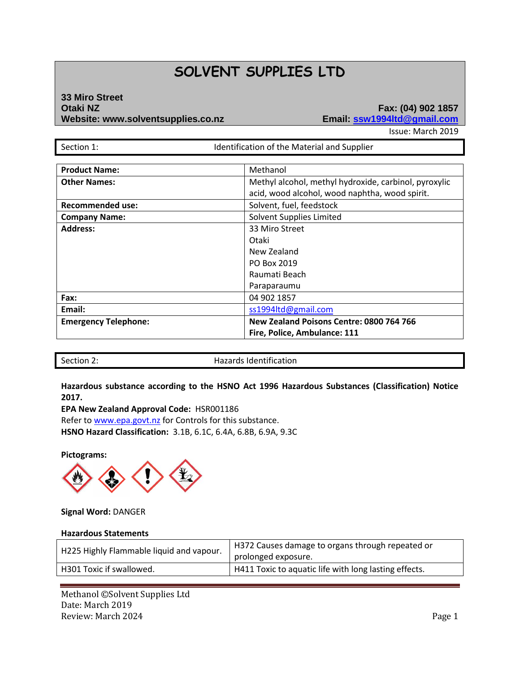# **SOLVENT SUPPLIES LTD**

# **33 Miro Street Otaki NZ Fax: (04) 902 1857 Website: www.solventsupplies.co.nz Email: ssw1994ltd@gmail.com**

Issue: March 2019

Section 1: **In the Internal Islam is a line of the Material and Supplier** 

| <b>Product Name:</b>        | Methanol                                              |
|-----------------------------|-------------------------------------------------------|
| <b>Other Names:</b>         | Methyl alcohol, methyl hydroxide, carbinol, pyroxylic |
|                             | acid, wood alcohol, wood naphtha, wood spirit.        |
| <b>Recommended use:</b>     | Solvent, fuel, feedstock                              |
| <b>Company Name:</b>        | Solvent Supplies Limited                              |
| <b>Address:</b>             | 33 Miro Street                                        |
|                             | Otaki                                                 |
|                             | New Zealand                                           |
|                             | PO Box 2019                                           |
|                             | Raumati Beach                                         |
|                             | Paraparaumu                                           |
| Fax:                        | 04 902 1857                                           |
| Email:                      | ss1994ltd@gmail.com                                   |
| <b>Emergency Telephone:</b> | New Zealand Poisons Centre: 0800 764 766              |
|                             | Fire, Police, Ambulance: 111                          |

Section 2: Section 2: Section 2: Section 2:

**Hazardous substance according to the HSNO Act 1996 Hazardous Substances (Classification) Notice 2017.**

**EPA New Zealand Approval Code:** HSR001186 Refer t[o www.epa.govt.nz](http://www.epa.govt.nz/) for Controls for this substance. **HSNO Hazard Classification:** 3.1B, 6.1C, 6.4A, 6.8B, 6.9A, 9.3C

**Pictograms:**



#### **Signal Word:** DANGER

#### **Hazardous Statements**

| H225 Highly Flammable liquid and vapour. | H372 Causes damage to organs through repeated or<br>prolonged exposure. |
|------------------------------------------|-------------------------------------------------------------------------|
| H301 Toxic if swallowed.                 | H411 Toxic to aquatic life with long lasting effects.                   |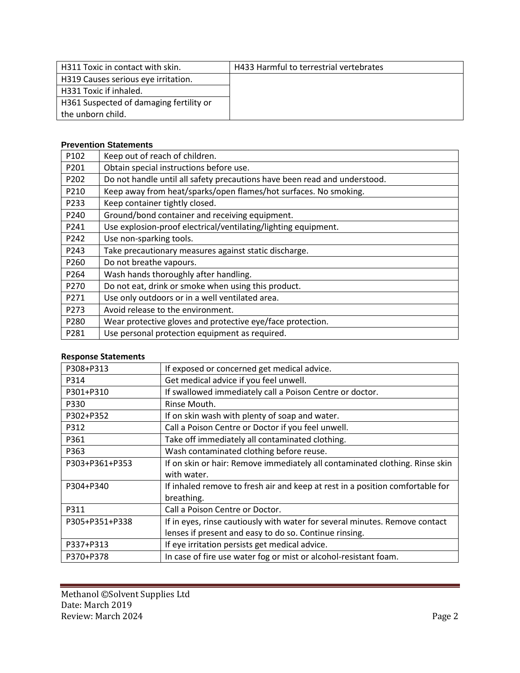| H311 Toxic in contact with skin.        | <b>H433 Harmful to terrestrial vertebrates</b> |
|-----------------------------------------|------------------------------------------------|
| H319 Causes serious eye irritation.     |                                                |
| H331 Toxic if inhaled.                  |                                                |
| H361 Suspected of damaging fertility or |                                                |
| the unborn child.                       |                                                |

#### **Prevention Statements**

| P102 | Keep out of reach of children.                                            |
|------|---------------------------------------------------------------------------|
| P201 | Obtain special instructions before use.                                   |
| P202 | Do not handle until all safety precautions have been read and understood. |
| P210 | Keep away from heat/sparks/open flames/hot surfaces. No smoking.          |
| P233 | Keep container tightly closed.                                            |
| P240 | Ground/bond container and receiving equipment.                            |
| P241 | Use explosion-proof electrical/ventilating/lighting equipment.            |
| P242 | Use non-sparking tools.                                                   |
| P243 | Take precautionary measures against static discharge.                     |
| P260 | Do not breathe vapours.                                                   |
| P264 | Wash hands thoroughly after handling.                                     |
| P270 | Do not eat, drink or smoke when using this product.                       |
| P271 | Use only outdoors or in a well ventilated area.                           |
| P273 | Avoid release to the environment.                                         |
| P280 | Wear protective gloves and protective eye/face protection.                |
| P281 | Use personal protection equipment as required.                            |

# **Response Statements**

| P308+P313      | If exposed or concerned get medical advice.                                   |
|----------------|-------------------------------------------------------------------------------|
| P314           | Get medical advice if you feel unwell.                                        |
| P301+P310      | If swallowed immediately call a Poison Centre or doctor.                      |
| P330           | Rinse Mouth.                                                                  |
| P302+P352      | If on skin wash with plenty of soap and water.                                |
| P312           | Call a Poison Centre or Doctor if you feel unwell.                            |
| P361           | Take off immediately all contaminated clothing.                               |
| P363           | Wash contaminated clothing before reuse.                                      |
| P303+P361+P353 | If on skin or hair: Remove immediately all contaminated clothing. Rinse skin  |
|                | with water.                                                                   |
| P304+P340      | If inhaled remove to fresh air and keep at rest in a position comfortable for |
|                | breathing.                                                                    |
| P311           | Call a Poison Centre or Doctor.                                               |
| P305+P351+P338 | If in eyes, rinse cautiously with water for several minutes. Remove contact   |
|                | lenses if present and easy to do so. Continue rinsing.                        |
| P337+P313      | If eye irritation persists get medical advice.                                |
| P370+P378      | In case of fire use water fog or mist or alcohol-resistant foam.              |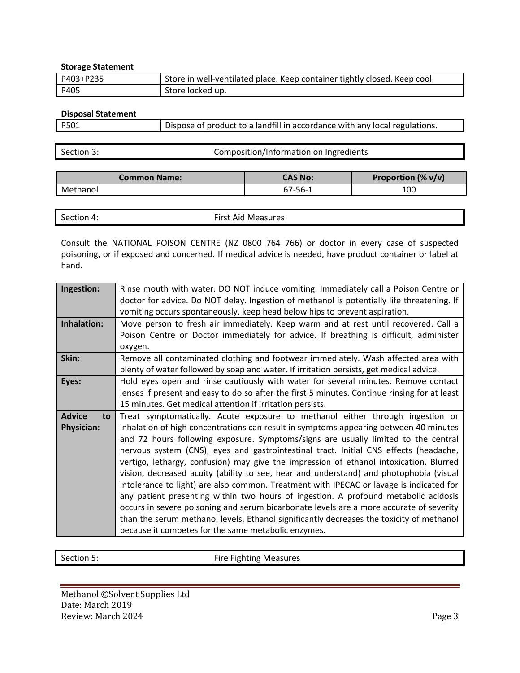#### **Storage Statement**

| P403+P235 | Store in well-ventilated place. Keep container tightly closed. Keep cool. |
|-----------|---------------------------------------------------------------------------|
| P405      | Store locked up.                                                          |

**Disposal Statement**

P501 Dispose of product to a landfill in accordance with any local regulations.

| Section 3: | Composition/Information on Ingredients |
|------------|----------------------------------------|
|            |                                        |

| Common Name: | CAS No: | Proportion $(\% v/v)$ |
|--------------|---------|-----------------------|
| Methanol     | 67-56-1 | 100                   |

| --<br>$\overline{\phantom{0}}$<br>. .<br>First Aid Measures<br>Section 4: |
|---------------------------------------------------------------------------|
|---------------------------------------------------------------------------|

Consult the NATIONAL POISON CENTRE (NZ 0800 764 766) or doctor in every case of suspected poisoning, or if exposed and concerned. If medical advice is needed, have product container or label at hand.

| Ingestion:          | Rinse mouth with water. DO NOT induce vomiting. Immediately call a Poison Centre or          |
|---------------------|----------------------------------------------------------------------------------------------|
|                     | doctor for advice. Do NOT delay. Ingestion of methanol is potentially life threatening. If   |
|                     | vomiting occurs spontaneously, keep head below hips to prevent aspiration.                   |
| Inhalation:         | Move person to fresh air immediately. Keep warm and at rest until recovered. Call a          |
|                     | Poison Centre or Doctor immediately for advice. If breathing is difficult, administer        |
|                     | oxygen.                                                                                      |
| Skin:               | Remove all contaminated clothing and footwear immediately. Wash affected area with           |
|                     | plenty of water followed by soap and water. If irritation persists, get medical advice.      |
| Eyes:               | Hold eyes open and rinse cautiously with water for several minutes. Remove contact           |
|                     | lenses if present and easy to do so after the first 5 minutes. Continue rinsing for at least |
|                     | 15 minutes. Get medical attention if irritation persists.                                    |
| <b>Advice</b><br>to | Treat symptomatically. Acute exposure to methanol either through ingestion or                |
| <b>Physician:</b>   | inhalation of high concentrations can result in symptoms appearing between 40 minutes        |
|                     | and 72 hours following exposure. Symptoms/signs are usually limited to the central           |
|                     | nervous system (CNS), eyes and gastrointestinal tract. Initial CNS effects (headache,        |
|                     | vertigo, lethargy, confusion) may give the impression of ethanol intoxication. Blurred       |
|                     | vision, decreased acuity (ability to see, hear and understand) and photophobia (visual       |
|                     | intolerance to light) are also common. Treatment with IPECAC or lavage is indicated for      |
|                     | any patient presenting within two hours of ingestion. A profound metabolic acidosis          |
|                     | occurs in severe poisoning and serum bicarbonate levels are a more accurate of severity      |
|                     | than the serum methanol levels. Ethanol significantly decreases the toxicity of methanol     |
|                     | because it competes for the same metabolic enzymes.                                          |

Section 5: Section 5: Fire Fighting Measures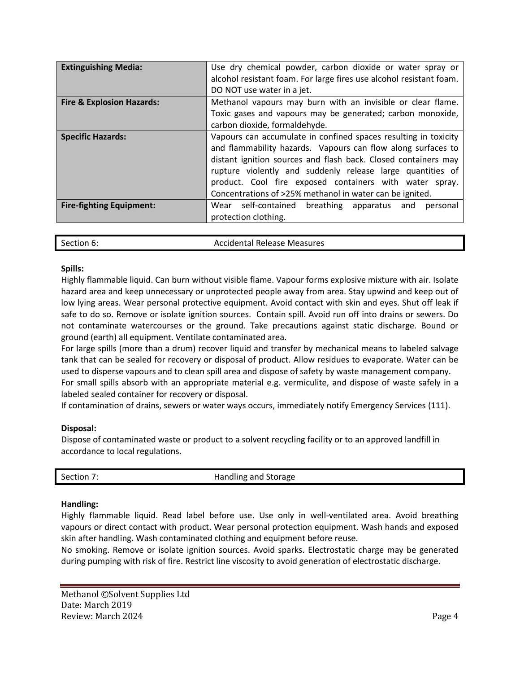| <b>Extinguishing Media:</b>          | Use dry chemical powder, carbon dioxide or water spray or<br>alcohol resistant foam. For large fires use alcohol resistant foam.<br>DO NOT use water in a jet.                                                                                                                                                                                                                         |
|--------------------------------------|----------------------------------------------------------------------------------------------------------------------------------------------------------------------------------------------------------------------------------------------------------------------------------------------------------------------------------------------------------------------------------------|
| <b>Fire &amp; Explosion Hazards:</b> | Methanol vapours may burn with an invisible or clear flame.<br>Toxic gases and vapours may be generated; carbon monoxide,<br>carbon dioxide, formaldehyde.                                                                                                                                                                                                                             |
| <b>Specific Hazards:</b>             | Vapours can accumulate in confined spaces resulting in toxicity<br>and flammability hazards. Vapours can flow along surfaces to<br>distant ignition sources and flash back. Closed containers may<br>rupture violently and suddenly release large quantities of<br>product. Cool fire exposed containers with water spray.<br>Concentrations of >25% methanol in water can be ignited. |
| <b>Fire-fighting Equipment:</b>      | Wear self-contained breathing apparatus<br>and<br>personal<br>protection clothing.                                                                                                                                                                                                                                                                                                     |

| Section 6: | <b>Accidental Release Measures</b> |
|------------|------------------------------------|
|            |                                    |

## **Spills:**

Highly flammable liquid. Can burn without visible flame. Vapour forms explosive mixture with air. Isolate hazard area and keep unnecessary or unprotected people away from area. Stay upwind and keep out of low lying areas. Wear personal protective equipment. Avoid contact with skin and eyes. Shut off leak if safe to do so. Remove or isolate ignition sources. Contain spill. Avoid run off into drains or sewers. Do not contaminate watercourses or the ground. Take precautions against static discharge. Bound or ground (earth) all equipment. Ventilate contaminated area.

For large spills (more than a drum) recover liquid and transfer by mechanical means to labeled salvage tank that can be sealed for recovery or disposal of product. Allow residues to evaporate. Water can be used to disperse vapours and to clean spill area and dispose of safety by waste management company.

For small spills absorb with an appropriate material e.g. vermiculite, and dispose of waste safely in a labeled sealed container for recovery or disposal.

If contamination of drains, sewers or water ways occurs, immediately notify Emergency Services (111).

# **Disposal:**

Dispose of contaminated waste or product to a solvent recycling facility or to an approved landfill in accordance to local regulations.

| Section 7: | Handling and Storage |
|------------|----------------------|
|            |                      |

## **Handling:**

Highly flammable liquid. Read label before use. Use only in well-ventilated area. Avoid breathing vapours or direct contact with product. Wear personal protection equipment. Wash hands and exposed skin after handling. Wash contaminated clothing and equipment before reuse.

No smoking. Remove or isolate ignition sources. Avoid sparks. Electrostatic charge may be generated during pumping with risk of fire. Restrict line viscosity to avoid generation of electrostatic discharge.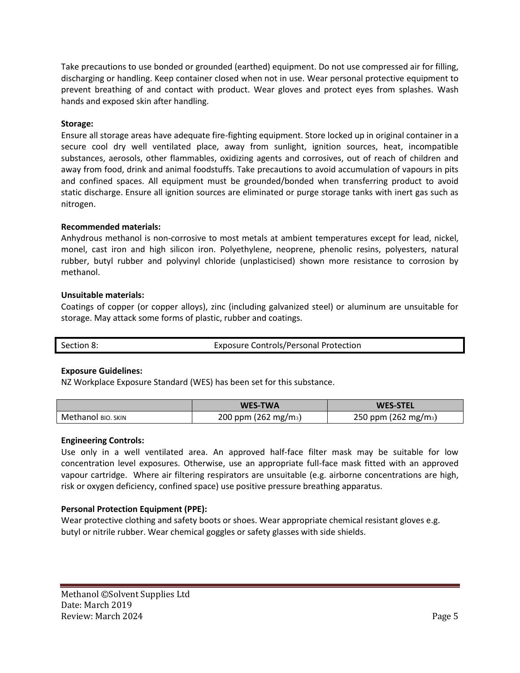Take precautions to use bonded or grounded (earthed) equipment. Do not use compressed air for filling, discharging or handling. Keep container closed when not in use. Wear personal protective equipment to prevent breathing of and contact with product. Wear gloves and protect eyes from splashes. Wash hands and exposed skin after handling.

# **Storage:**

Ensure all storage areas have adequate fire-fighting equipment. Store locked up in original container in a secure cool dry well ventilated place, away from sunlight, ignition sources, heat, incompatible substances, aerosols, other flammables, oxidizing agents and corrosives, out of reach of children and away from food, drink and animal foodstuffs. Take precautions to avoid accumulation of vapours in pits and confined spaces. All equipment must be grounded/bonded when transferring product to avoid static discharge. Ensure all ignition sources are eliminated or purge storage tanks with inert gas such as nitrogen.

## **Recommended materials:**

Anhydrous methanol is non-corrosive to most metals at ambient temperatures except for lead, nickel, monel, cast iron and high silicon iron. Polyethylene, neoprene, phenolic resins, polyesters, natural rubber, butyl rubber and polyvinyl chloride (unplasticised) shown more resistance to corrosion by methanol.

## **Unsuitable materials:**

Coatings of copper (or copper alloys), zinc (including galvanized steel) or aluminum are unsuitable for storage. May attack some forms of plastic, rubber and coatings.

# **Exposure Guidelines:**

NZ Workplace Exposure Standard (WES) has been set for this substance.

|                   | <b>WES-TWA</b>                   | <b>WES-STEL</b>                  |
|-------------------|----------------------------------|----------------------------------|
| Methanol вю. sкім | 200 ppm (262 mg/m <sub>3</sub> ) | 250 ppm (262 mg/m <sub>3</sub> ) |

## **Engineering Controls:**

Use only in a well ventilated area. An approved half-face filter mask may be suitable for low concentration level exposures. Otherwise, use an appropriate full-face mask fitted with an approved vapour cartridge. Where air filtering respirators are unsuitable (e.g. airborne concentrations are high, risk or oxygen deficiency, confined space) use positive pressure breathing apparatus.

# **Personal Protection Equipment (PPE):**

Wear protective clothing and safety boots or shoes. Wear appropriate chemical resistant gloves e.g. butyl or nitrile rubber. Wear chemical goggles or safety glasses with side shields.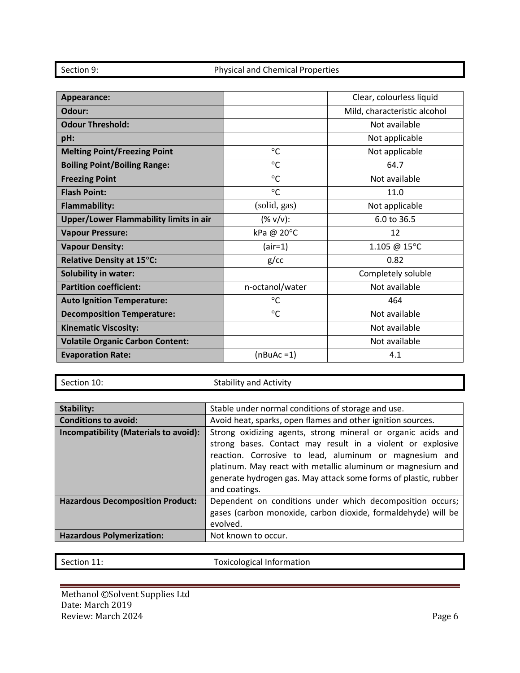| Appearance:                                   |                               | Clear, colourless liquid     |
|-----------------------------------------------|-------------------------------|------------------------------|
| Odour:                                        |                               | Mild, characteristic alcohol |
| <b>Odour Threshold:</b>                       |                               | Not available                |
| pH:                                           |                               | Not applicable               |
| <b>Melting Point/Freezing Point</b>           | $^{\circ}{\rm C}$             | Not applicable               |
| <b>Boiling Point/Boiling Range:</b>           | $^{\circ}$ C                  | 64.7                         |
| <b>Freezing Point</b>                         | $^{\circ}$ C                  | Not available                |
| <b>Flash Point:</b>                           | $^{\circ}$ C                  | 11.0                         |
| <b>Flammability:</b>                          | (solid, gas)                  | Not applicable               |
| <b>Upper/Lower Flammability limits in air</b> | $(% \mathcal{O}(x))$ (% v/v): | 6.0 to 36.5                  |
| <b>Vapour Pressure:</b>                       | kPa @ 20°C                    | 12                           |
| <b>Vapour Density:</b>                        | (air=1)                       | 1.105 @ 15°C                 |
| <b>Relative Density at 15°C:</b>              | g/cc                          | 0.82                         |
| <b>Solubility in water:</b>                   |                               | Completely soluble           |
| <b>Partition coefficient:</b>                 | n-octanol/water               | Not available                |
| <b>Auto Ignition Temperature:</b>             | $^{\circ}$ C                  | 464                          |
| <b>Decomposition Temperature:</b>             | $^{\circ}{\rm C}$             | Not available                |
| <b>Kinematic Viscosity:</b>                   |                               | Not available                |
| <b>Volatile Organic Carbon Content:</b>       |                               | Not available                |
| <b>Evaporation Rate:</b>                      | $(nBuAc=1)$                   | 4.1                          |

Section 10: Stability and Activity

| <b>Stability:</b>                       | Stable under normal conditions of storage and use.                                                                                                                                                                                                                                                                                      |
|-----------------------------------------|-----------------------------------------------------------------------------------------------------------------------------------------------------------------------------------------------------------------------------------------------------------------------------------------------------------------------------------------|
| <b>Conditions to avoid:</b>             | Avoid heat, sparks, open flames and other ignition sources.                                                                                                                                                                                                                                                                             |
| Incompatibility (Materials to avoid):   | Strong oxidizing agents, strong mineral or organic acids and<br>strong bases. Contact may result in a violent or explosive<br>reaction. Corrosive to lead, aluminum or magnesium and<br>platinum. May react with metallic aluminum or magnesium and<br>generate hydrogen gas. May attack some forms of plastic, rubber<br>and coatings. |
| <b>Hazardous Decomposition Product:</b> | Dependent on conditions under which decomposition occurs;<br>gases (carbon monoxide, carbon dioxide, formaldehyde) will be<br>evolved.                                                                                                                                                                                                  |
| <b>Hazardous Polymerization:</b>        | Not known to occur.                                                                                                                                                                                                                                                                                                                     |

Section 11: Toxicological Information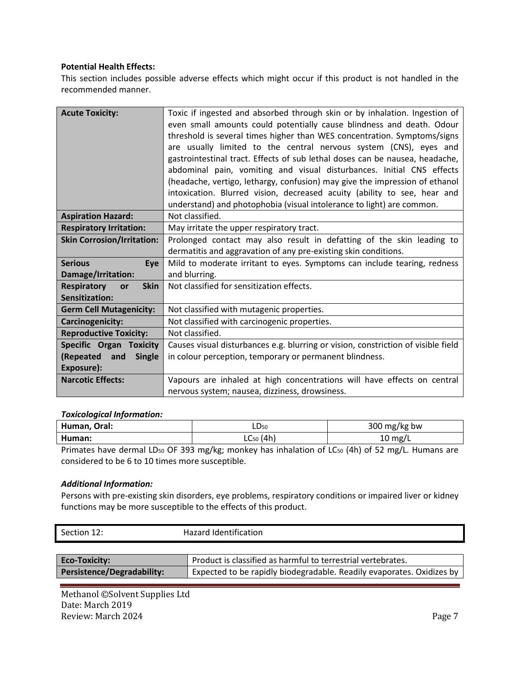## **Potential Health Effects:**

This section includes possible adverse effects which might occur if this product is not handled in the recommended manner.

| <b>Acute Toxicity:</b>                  | Toxic if ingested and absorbed through skin or by inhalation. Ingestion of        |
|-----------------------------------------|-----------------------------------------------------------------------------------|
|                                         | even small amounts could potentially cause blindness and death. Odour             |
|                                         | threshold is several times higher than WES concentration. Symptoms/signs          |
|                                         | are usually limited to the central nervous system (CNS), eyes and                 |
|                                         | gastrointestinal tract. Effects of sub lethal doses can be nausea, headache,      |
|                                         | abdominal pain, vomiting and visual disturbances. Initial CNS effects             |
|                                         | (headache, vertigo, lethargy, confusion) may give the impression of ethanol       |
|                                         | intoxication. Blurred vision, decreased acuity (ability to see, hear and          |
|                                         | understand) and photophobia (visual intolerance to light) are common.             |
| <b>Aspiration Hazard:</b>               | Not classified.                                                                   |
| <b>Respiratory Irritation:</b>          | May irritate the upper respiratory tract.                                         |
| <b>Skin Corrosion/Irritation:</b>       | Prolonged contact may also result in defatting of the skin leading to             |
|                                         | dermatitis and aggravation of any pre-existing skin conditions.                   |
| <b>Serious</b><br>Eye                   | Mild to moderate irritant to eyes. Symptoms can include tearing, redness          |
| Damage/Irritation:                      | and blurring.                                                                     |
| <b>Respiratory</b><br><b>Skin</b><br>or | Not classified for sensitization effects.                                         |
| Sensitization:                          |                                                                                   |
| <b>Germ Cell Mutagenicity:</b>          | Not classified with mutagenic properties.                                         |
| Carcinogenicity:                        | Not classified with carcinogenic properties.                                      |
| <b>Reproductive Toxicity:</b>           | Not classified.                                                                   |
| <b>Specific Organ Toxicity</b>          | Causes visual disturbances e.g. blurring or vision, constriction of visible field |
| (Repeated and<br><b>Single</b>          | in colour perception, temporary or permanent blindness.                           |
| Exposure):                              |                                                                                   |
| <b>Narcotic Effects:</b>                | Vapours are inhaled at high concentrations will have effects on central           |
|                                         | nervous system; nausea, dizziness, drowsiness.                                    |

#### *Toxicological Information:*

| Human,<br>Oral: | LD <sub>50</sub>     | 200<br>/kg bw<br>mg/<br>300 |
|-----------------|----------------------|-----------------------------|
| Human:          | '4h,<br>∽<br>' 20۔ ا | $10 \text{ mg/L}$           |

Primates have dermal LD50 OF 393 mg/kg; monkey has inhalation of LC50 (4h) of 52 mg/L. Humans are considered to be 6 to 10 times more susceptible.

## *Additional Information:*

Persons with pre-existing skin disorders, eye problems, respiratory conditions or impaired liver or kidney functions may be more susceptible to the effects of this product.

| Section 12:   | Hazard Identification                                        |  |
|---------------|--------------------------------------------------------------|--|
|               |                                                              |  |
| Eco-Toxicity: | Product is classified as harmful to terrestrial vertebrates. |  |

**Persistence/Degradability:** Expected to be rapidly biodegradable. Readily evaporates. Oxidizes by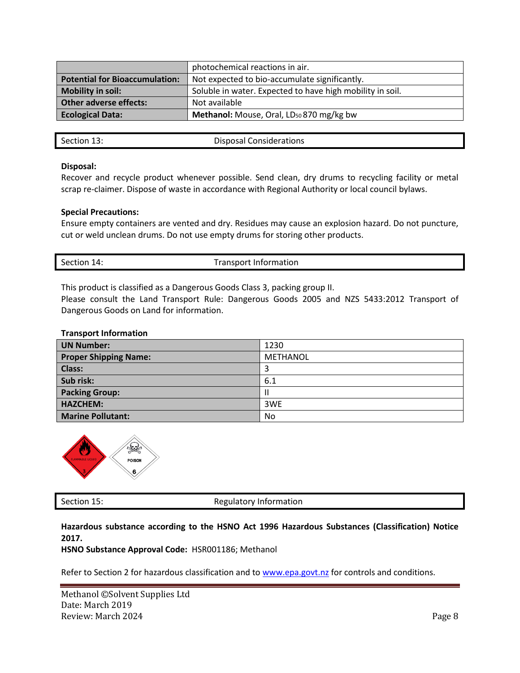|                                       | photochemical reactions in air.                           |  |
|---------------------------------------|-----------------------------------------------------------|--|
| <b>Potential for Bioaccumulation:</b> | Not expected to bio-accumulate significantly.             |  |
| <b>Mobility in soil:</b>              | Soluble in water. Expected to have high mobility in soil. |  |
| <b>Other adverse effects:</b>         | Not available                                             |  |
| <b>Ecological Data:</b>               | Methanol: Mouse, Oral, LD <sub>50</sub> 870 mg/kg bw      |  |
|                                       |                                                           |  |

Section 13: Disposal Considerations

#### **Disposal:**

Recover and recycle product whenever possible. Send clean, dry drums to recycling facility or metal scrap re-claimer. Dispose of waste in accordance with Regional Authority or local council bylaws.

#### **Special Precautions:**

Ensure empty containers are vented and dry. Residues may cause an explosion hazard. Do not puncture, cut or weld unclean drums. Do not use empty drums for storing other products.

| Section 14: | <b>Transport Information</b> |
|-------------|------------------------------|
|             |                              |

This product is classified as a Dangerous Goods Class 3, packing group II.

Please consult the Land Transport Rule: Dangerous Goods 2005 and NZS 5433:2012 Transport of Dangerous Goods on Land for information.

#### **Transport Information**

| <b>UN Number:</b>            | 1230     |
|------------------------------|----------|
| <b>Proper Shipping Name:</b> | METHANOL |
| <b>Class:</b>                | 3        |
| Sub risk:                    | 6.1      |
| <b>Packing Group:</b>        | Ш        |
| <b>HAZCHEM:</b>              | 3WE      |
| <b>Marine Pollutant:</b>     | No       |



Section 15: Section 15:

**Hazardous substance according to the HSNO Act 1996 Hazardous Substances (Classification) Notice 2017.** 

**HSNO Substance Approval Code:** HSR001186; Methanol

Refer to Section 2 for hazardous classification and to [www.epa.govt.nz](http://www.epa.govt.nz/) for controls and conditions.